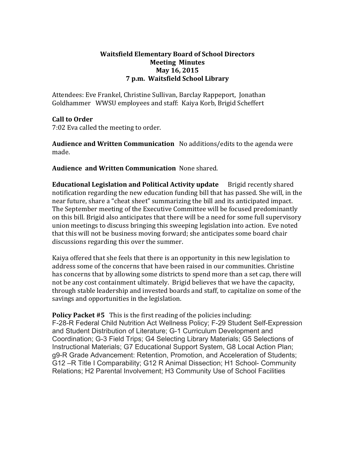## **Waitsfield\*Elementary\*Board\*of\*School\*Directors Meeting Minutes May 16, 2015 7\*p.m.\*\*Waitsfield\*School\*Library**

Attendees: Eve Frankel, Christine Sullivan, Barclay Rappeport, Jonathan Goldhammer WWSU employees and staff: Kaiya Korb, Brigid Scheffert

## **Call to Order**

7:02 Eva called the meeting to order.

**Audience and Written Communication** No additions/edits to the agenda were made.

**Audience and Written Communication** None shared.

**Educational Legislation and Political Activity update** Brigid recently shared notification regarding the new education funding bill that has passed. She will, in the near future, share a "cheat sheet" summarizing the bill and its anticipated impact. The September meeting of the Executive Committee will be focused predominantly on this bill. Brigid also anticipates that there will be a need for some full supervisory union meetings to discuss bringing this sweeping legislation into action. Eve noted that this will not be business moving forward; she anticipates some board chair discussions regarding this over the summer.

Kaiya offered that she feels that there is an opportunity in this new legislation to address some of the concerns that have been raised in our communities. Christine has concerns that by allowing some districts to spend more than a set cap, there will not be any cost containment ultimately. Brigid believes that we have the capacity, through stable leadership and invested boards and staff, to capitalize on some of the savings and opportunities in the legislation.

**Policy Packet #5** This is the first reading of the policies including: F-28-R Federal Child Nutrition Act Wellness Policy; F-29 Student Self-Expression and Student Distribution of Literature; G-1 Curriculum Development and Coordination; G-3 Field Trips; G4 Selecting Library Materials; G5 Selections of Instructional Materials; G7 Educational Support System, G8 Local Action Plan; g9-R Grade Advancement: Retention, Promotion, and Acceleration of Students; G12 –R Title I Comparability; G12 R Animal Dissection; H1 School- Community Relations; H2 Parental Involvement; H3 Community Use of School Facilities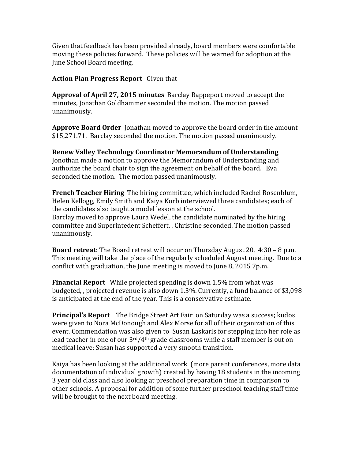Given that feedback has been provided already, board members were comfortable moving these policies forward. These policies will be warned for adoption at the June School Board meeting.

## Action Plan Progress Report Given that

**Approval of April 27, 2015 minutes** Barclay Rappeport moved to accept the minutes, Jonathan Goldhammer seconded the motion. The motion passed unanimously.

**Approve Board Order** Jonathan moved to approve the board order in the amount \$15,271.71. Barclay seconded the motion. The motion passed unanimously.

Renew Valley Technology Coordinator Memorandum of Understanding Jonothan made a motion to approve the Memorandum of Understanding and authorize the board chair to sign the agreement on behalf of the board. Eva seconded the motion. The motion passed unanimously.

**French Teacher Hiring** The hiring committee, which included Rachel Rosenblum, Helen Kellogg, Emily Smith and Kaiya Korb interviewed three candidates; each of the candidates also taught a model lesson at the school. Barclay moved to approve Laura Wedel, the candidate nominated by the hiring committee and Superintedent Scheffert. . Christine seconded. The motion passed unanimously.

**Board retreat**: The Board retreat will occur on Thursday August 20,  $4:30 - 8$  p.m. This meeting will take the place of the regularly scheduled August meeting. Due to a conflict with graduation, the June meeting is moved to June 8, 2015 7p.m.

**Financial Report** While projected spending is down 1.5% from what was budgeted,, projected revenue is also down 1.3%. Currently, a fund balance of \$3,098 is anticipated at the end of the year. This is a conservative estimate.

**Principal's Report** The Bridge Street Art Fair on Saturday was a success; kudos were given to Nora McDonough and Alex Morse for all of their organization of this event. Commendation was also given to Susan Laskaris for stepping into her role as lead teacher in one of our  $3<sup>rd</sup>/4<sup>th</sup>$  grade classrooms while a staff member is out on medical leave; Susan has supported a very smooth transition.

Kaiya has been looking at the additional work (more parent conferences, more data documentation of individual growth) created by having 18 students in the incoming 3 year old class and also looking at preschool preparation time in comparison to other schools. A proposal for addition of some further preschool teaching staff time will be brought to the next board meeting.